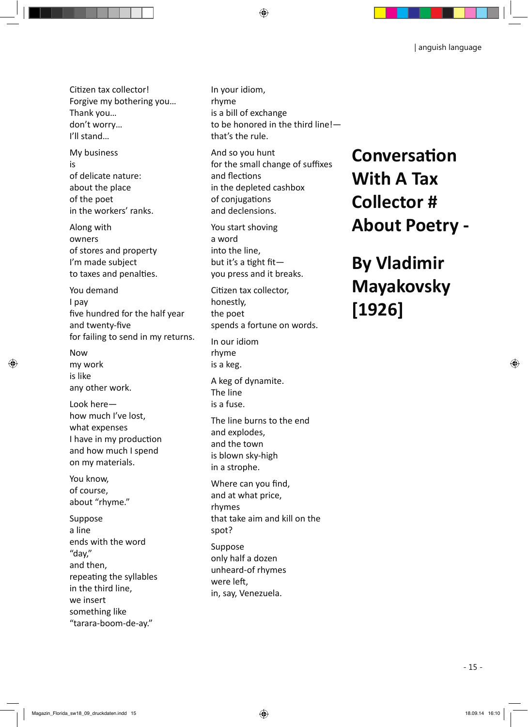◈

| anguish language

Citizen tax collector! Forgive my bothering you… Thank you… don't worry... I'll stand...

My business is of delicate nature: about the place of the poet in the workers' ranks.

Along with owners of stores and property I'm made subject to taxes and penalties.

You demand I pay five hundred for the half year and twenty-five for failing to send in my returns.

Now my work is like any other work.

◈

Look here how much I've lost, what expenses I have in my production and how much I spend on my materials.

You know, of course, about "rhyme."

Suppose a line ends with the word "day," and then, repeating the syllables in the third line, we insert something like "tarara-boom-de-ay."

In your idiom, rhyme is a bill of exchange to be honored in the third line! that's the rule.

And so you hunt for the small change of suffixes and flections in the depleted cashbox of conjugations and declensions.

You start shoving a word into the line, but it's a tight fityou press and it breaks.

Citizen tax collector, honestly, the poet spends a fortune on words.

In our idiom rhyme is a keg.

A keg of dynamite. The line is a fuse.

The line burns to the end and explodes, and the town is blown sky-high in a strophe.

Where can you find, and at what price, rhymes that take aim and kill on the spot? Suppose

only half a dozen unheard-of rhymes were left, in, say, Venezuela.

## **Conversation With A Tax Collector# About Poetry -**

**By Vladimir Mayakovsky [1926]**

- 15 -

◈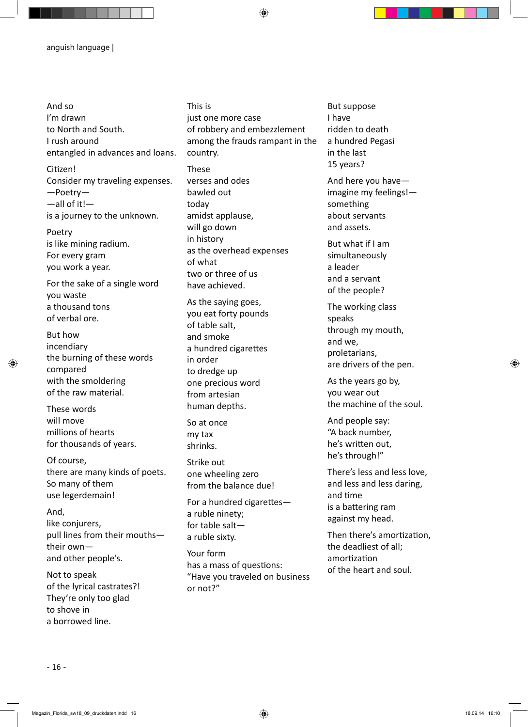◈

anguish language |

And so I'm drawn to North and South. I rush around entangled in advances and loans. Citizen! Consider my traveling expenses. —Poetry— —all of it! is a journey to the unknown.

Poetry is like mining radium. For every gram you work a year.

For the sake of a single word you waste a thousand tons of verbal ore.

**But how** incendiary the burning of these words compared with the smoldering of the raw material.

◈

These words will move millions of hearts for thousands of years.

Of course, there are many kinds of poets. So many of them use legerdemain!

And, like conjurers, pull lines from their mouths their own and other people's.

Not to speak of the lyrical castrates?! They're only too glad to shove in a borrowed line.

This is just one more case of robbery and embezzlement among the frauds rampant in the country. These verses and odes bawled out today amidst applause, will go down in history as the overhead expenses of what two or three of us have achieved.

As the saying goes, you eat forty pounds of table salt, and smoke a hundred cigarettes in order to dredge up one precious word from artesian human depths.

So at once my tax shrinks.

Strike out one wheeling zero from the balance due!

For a hundred cigarettesa ruble ninety; for table salt a ruble sixty.

Your form has a mass of questions: "Have you traveled on business or not?"

But suppose I have ridden to death a hundred Pegasi in the last 15 years?

And here you have imagine my feelings! something about servants and assets.

But what if I am simultaneously a leader and a servant of the people?

The working class speaks through my mouth, and we, proletarians, are drivers of the pen.

As the years go by, you wear out the machine of the soul.

And people say: "A back number, he's written out, he's through!"

There's less and less love, and less and less daring, and time is a battering ram against my head.

Then there's amortization, the deadliest of all; amortization of the heart and soul.

◈